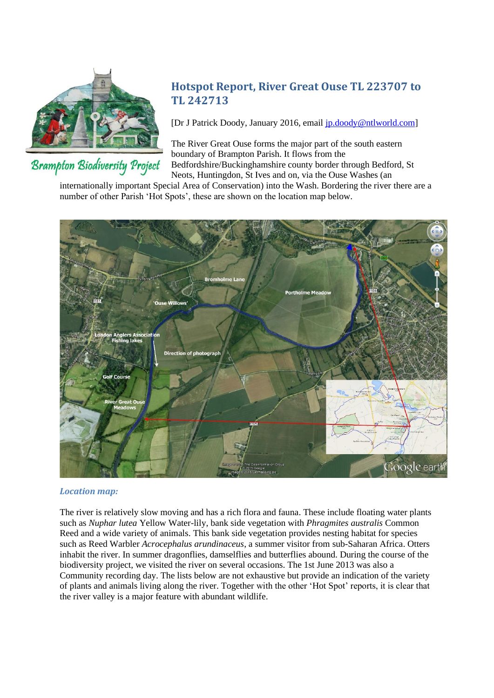

# **Brampton Biodiversity Project**

# **Hotspot Report, River Great Ouse TL 223707 to TL 242713**

[Dr J Patrick Doody, January 2016, email [jp.doody@ntlworld.com\]](mailto:jp.doody@ntlworld.com)

The River Great Ouse forms the major part of the south eastern boundary of Brampton Parish. It flows from the Bedfordshire/Buckinghamshire county border through Bedford, St Neots, Huntingdon, St Ives and on, via the Ouse Washes (an

internationally important Special Area of Conservation) into the Wash. Bordering the river there are a number of other Parish 'Hot Spots', these are shown on the location map below.



# *Location map:*

The river is relatively slow moving and has a rich flora and fauna. These include floating water plants such as *Nuphar lutea* Yellow Water-lily, bank side vegetation with *Phragmites australis* Common Reed and a wide variety of animals. This bank side vegetation provides nesting habitat for species such as Reed Warbler *Acrocephalus arundinaceus*, a summer visitor from sub-Saharan Africa. Otters inhabit the river. In summer dragonflies, damselflies and butterflies abound. During the course of the biodiversity project, we visited the river on several occasions. The 1st June 2013 was also a Community recording day. The lists below are not exhaustive but provide an indication of the variety of plants and animals living along the river. Together with the other 'Hot Spot' reports, it is clear that the river valley is a major feature with abundant wildlife.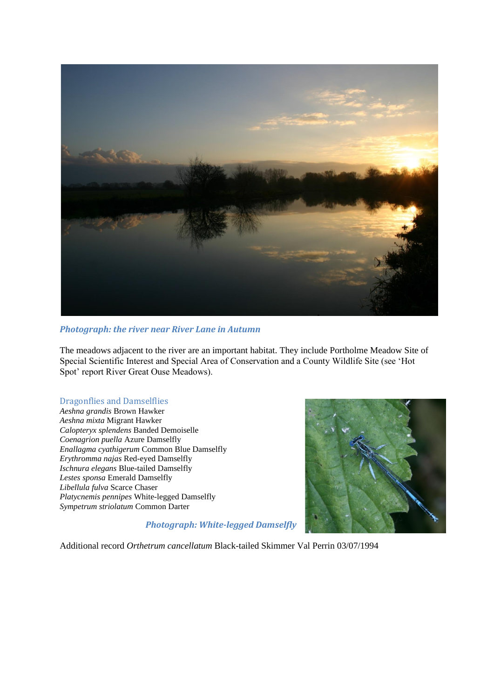

# *Photograph: the river near River Lane in Autumn*

The meadows adjacent to the river are an important habitat. They include Portholme Meadow Site of Special Scientific Interest and Special Area of Conservation and a County Wildlife Site (see 'Hot Spot' report River Great Ouse Meadows).

# Dragonflies and Damselflies

*Aeshna grandis* Brown Hawker *Aeshna mixta* Migrant Hawker *Calopteryx splendens* Banded Demoiselle *Coenagrion puella* Azure Damselfly *Enallagma cyathigerum* Common Blue Damselfly *Erythromma najas* Red-eyed Damselfly *Ischnura elegans* Blue-tailed Damselfly *Lestes sponsa* Emerald Damselfly *Libellula fulva* Scarce Chaser *Platycnemis pennipes* White-legged Damselfly *Sympetrum striolatum* Common Darter



*Photograph: White-legged Damselfly*

Additional record *Orthetrum cancellatum* Black-tailed Skimmer Val Perrin 03/07/1994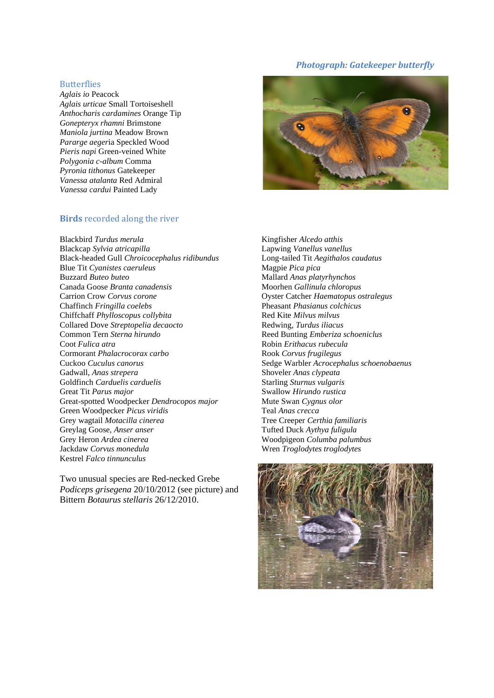# *Photograph: Gatekeeper butterfly*

#### **Butterflies**

*Aglais io* Peacock *Aglais urticae* Small Tortoiseshell *Anthocharis cardamines* Orange Tip *Gonepteryx rhamni* Brimstone *Maniola jurtina* Meadow Brown *Pararge aeger*ia Speckled Wood *Pieris napi* Green-veined White *Polygonia c-album* Comma *Pyronia tithonus* Gatekeeper *Vanessa atalanta* Red Admiral *Vanessa cardui* Painted Lady

### **Birds** recorded along the river



Two unusual species are Red-necked Grebe *Podiceps grisegena* 20/10/2012 (see picture) and Bittern *Botaurus stellaris* 26/12/2010.



Kingfisher *Alcedo atthis* Lapwing *Vanellus vanellus* Long-tailed Tit *Aegithalos caudatus* Magpie *Pica pica* Mallard *Anas platyrhynchos* Moorhen *Gallinula chloropus* Oyster Catcher *Haematopus ostralegus* Pheasant *Phasianus colchicus* Red Kite *Milvus milvus* Redwing, *Turdus iliacus* Reed Bunting *Emberiza schoeniclus* Robin *Erithacus rubecula* Rook *Corvus frugilegus* Sedge Warbler *Acrocephalus schoenobaenus* Shoveler *Anas clypeata* Starling *Sturnus vulgaris* Swallow *Hirundo rustica* Mute Swan *Cygnus olor* Teal *Anas crecca* Tree Creeper *Certhia familiaris* Tufted Duck *Aythya fuligula* Woodpigeon *Columba palumbus* Wren *Troglodytes troglodytes*